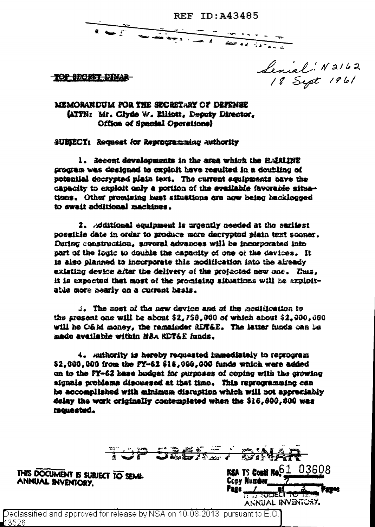**REF ID: A43485** 

 $\frac{1}{\sqrt{2}}\frac{1}{\sqrt{2}}\frac{1}{\sqrt{2}}\frac{1}{\sqrt{2}}\frac{1}{\sqrt{2}}\frac{1}{\sqrt{2}}\frac{1}{\sqrt{2}}\frac{1}{\sqrt{2}}\frac{1}{\sqrt{2}}\frac{1}{\sqrt{2}}\frac{1}{\sqrt{2}}\frac{1}{\sqrt{2}}\frac{1}{\sqrt{2}}\frac{1}{\sqrt{2}}\frac{1}{\sqrt{2}}\frac{1}{\sqrt{2}}\frac{1}{\sqrt{2}}\frac{1}{\sqrt{2}}\frac{1}{\sqrt{2}}\frac{1}{\sqrt{2}}\frac{1}{\sqrt{2}}\frac{1}{\sqrt{2}}$ 

<del>-TOP SECRET DINAR-</del>

Lenial N2162<br>18 Sept 1961

**MEMORANDUM FOR THE SECRETARY OF DREEWEE** (ATTN: Mr. Clyde W. Elliott, Deputy Director, Office of Special Operations)

SUBJECT: Request for Reprocraming Authority

1. Recent developments in the area which the HARLINE program was designed to exploit have resulted in a doubling of potential decrypted plain text. The current equipments have the capacity to exploit only a portion of the evailable favorable situations. Other promising bust situations are now being backlocoed to await additional machines.

2. Aditional equipment is urosatly needed at the sariiest possible date in order to produce more decrypted plain text sooner. During construction, several advances will be incorporated into part of the logic to double the capacity of one of the devices. It is also planned to incorporate this modification into the already existing device after the delivery of the projected new one. Thus, it is expected that most of the promising situations will be exploitable more nearly on a surrent basis.

:. The cost of the new device and of the nedification to the present one will be about  $$2,759,960$  of which about  $$2,900,060$ will be C&M money, the remainder RIF&E. The latter funds can be made available within NSA RDT&E funds.

4. Authority is hereby requested inmediately to reprogram \$2,000,000 from the FY-62 \$18,000,000 funds which were added on to the FY-62 hase budget for surposes of coping with the growing signals problems discussed at that time. This reprogrammine can be accomplished with minimum disruption which will not appreciably delay the work originally contemplated when the \$16,000,000 was requested.

|                                                        | つかれ |   | $J = 1$ |             | <b>ALLES TO A THE</b>                                                                     | 不严 |       |
|--------------------------------------------------------|-----|---|---------|-------------|-------------------------------------------------------------------------------------------|----|-------|
| THIS DOCUMENT IS SUBJECT TO SEMI-<br>ANNUAL INVENTORY. |     |   |         | <b>Fage</b> | <b>RSA TS CONN No 61 03608</b><br><b>Copy Number</b><br>South to the<br>ANNUAL INVENTORY. |    | Fagne |
| $\cdots$<br>. .                                        |     | . |         |             |                                                                                           |    |       |

Declassified and approved for release by NSA on 10-08-2013  $\,$  pursuant to E.O.]  $\,$ 13526